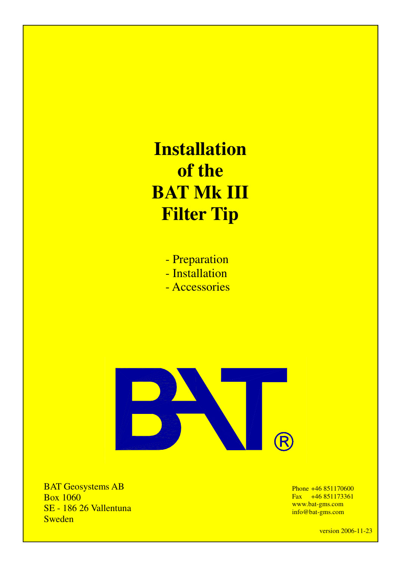**Installation of the BAT Mk III Filter Tip**

- Preparation
- Installation
- Accessories



BAT Geosystems AB Box 1060 SE - 186 26 Vallentuna Sweden

Phone +46 851170600 Fax +46 851173361 www.bat-gms.com info@bat-gms.com

version 2006-11-23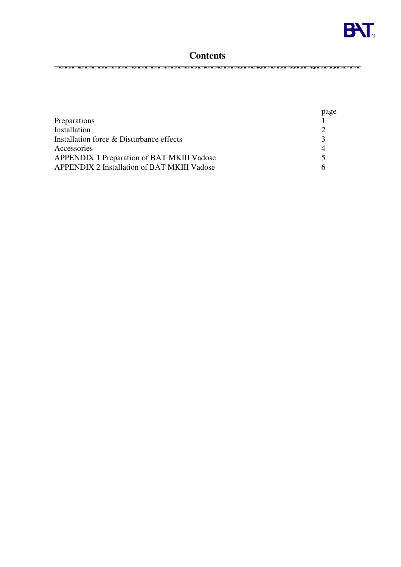

## **Contents**

|                                                    | page         |
|----------------------------------------------------|--------------|
| Preparations                                       |              |
| Installation                                       |              |
| Installation force & Disturbance effects           | $\mathbf{z}$ |
| Accessories                                        | 4            |
| APPENDIX 1 Preparation of BAT MKIII Vadose         | $\sim$       |
| <b>APPENDIX 2 Installation of BAT MKIII Vadose</b> | h            |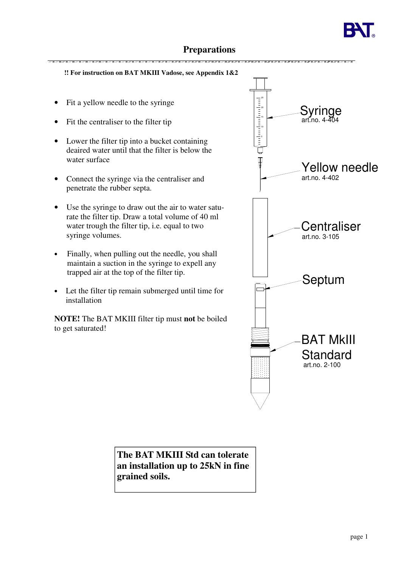

# **Preparations**

**!! For instruction on BAT MKIII Vadose, see Appendix 1&2 !!**

- Fit a yellow needle to the syringe
- Fit the centraliser to the filter tip
- Lower the filter tip into a bucket containing deaired water until that the filter is below the water surface
- Connect the syringe via the centraliser and penetrate the rubber septa.
- Use the syringe to draw out the air to water saturate the filter tip. Draw a total volume of 40 ml water trough the filter tip, i.e. equal to two syringe volumes.
- Finally, when pulling out the needle, you shall maintain a suction in the syringe to expell any trapped air at the top of the filter tip.
- Let the filter tip remain submerged until time for installation

**NOTE!** The BAT MKIII filter tip must **not** be boiled to get saturated!



**The BAT MKIII Std can tolerate an installation up to 25kN in fine grained soils.**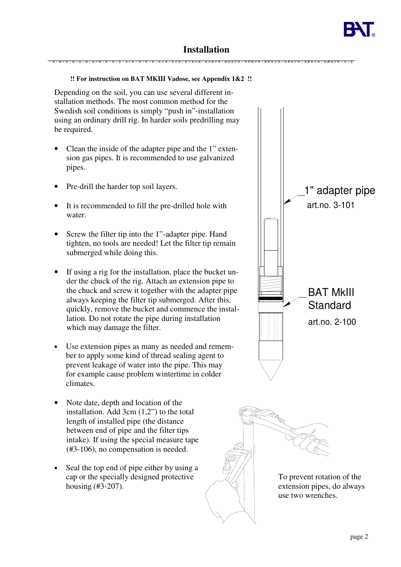# **Installation**

### **!! For instruction on BAT MKIII Vadose, see Appendix 1&2 !!**

Depending on the soil, you can use several different installation methods. The most common method for the Swedish soil conditions is simply "push in"-installation using an ordinary drill rig. In harder soils predrilling may be required.

- Clean the inside of the adapter pipe and the 1" extension gas pipes. It is recommended to use galvanized pipes.
- Pre-drill the harder top soil layers.
- It is recommended to fill the pre-drilled hole with water.
- Screw the filter tip into the 1"-adapter pipe. Hand tighten, no tools are needed! Let the filter tip remain submerged while doing this.
- If using a rig for the installation, place the bucket under the chuck of the rig. Attach an extension pipe to the chuck and screw it together with the adapter pipe always keeping the filter tip submerged. After this, quickly, remove the bucket and commence the installation. Do not rotate the pipe during installation which may damage the filter.
- Use extension pipes as many as needed and remember to apply some kind of thread sealing agent to prevent leakage of water into the pipe. This may for example cause problem wintertime in colder climates.
- Note date, depth and location of the installation. Add 3cm (1,2") to the total length of installed pipe (the distance between end of pipe and the filter tips intake). If using the special measure tape (#3-106), no compensation is needed.
- Seal the top end of pipe either by using a cap or the specially designed protective housing (#3-207).



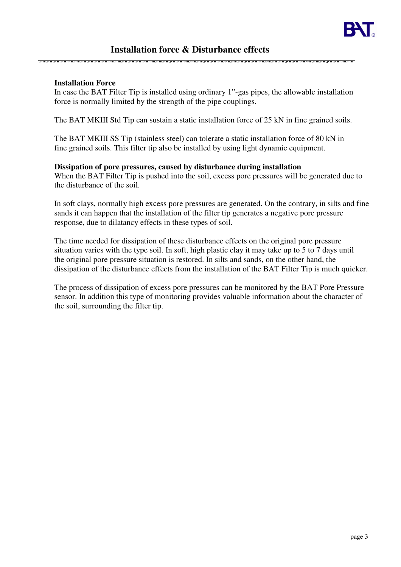### **Installation force & Disturbance effects**

### **Installation Force**

In case the BAT Filter Tip is installed using ordinary 1"-gas pipes, the allowable installation force is normally limited by the strength of the pipe couplings.

The BAT MKIII Std Tip can sustain a static installation force of 25 kN in fine grained soils.

The BAT MKIII SS Tip (stainless steel) can tolerate a static installation force of 80 kN in fine grained soils. This filter tip also be installed by using light dynamic equipment.

### **Dissipation of pore pressures, caused by disturbance during installation**

When the BAT Filter Tip is pushed into the soil, excess pore pressures will be generated due to the disturbance of the soil.

In soft clays, normally high excess pore pressures are generated. On the contrary, in silts and fine sands it can happen that the installation of the filter tip generates a negative pore pressure response, due to dilatancy effects in these types of soil.

The time needed for dissipation of these disturbance effects on the original pore pressure situation varies with the type soil. In soft, high plastic clay it may take up to 5 to 7 days until the original pore pressure situation is restored. In silts and sands, on the other hand, the dissipation of the disturbance effects from the installation of the BAT Filter Tip is much quicker.

The process of dissipation of excess pore pressures can be monitored by the BAT Pore Pressure sensor. In addition this type of monitoring provides valuable information about the character of the soil, surrounding the filter tip.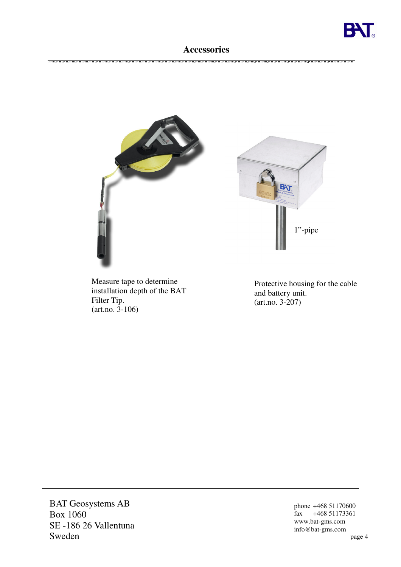

## **Accessories**



Measure tape to determine installation depth of the BAT Filter Tip. (art.no. 3-106)

Protective housing for the cable and battery unit. (art.no. 3-207)

BAT Geosystems AB Box 1060 SE -186 26 Vallentuna Sweden

phone +468 51170600 fax  $+468\,51173361$ www.bat-gms.com info@bat-gms.com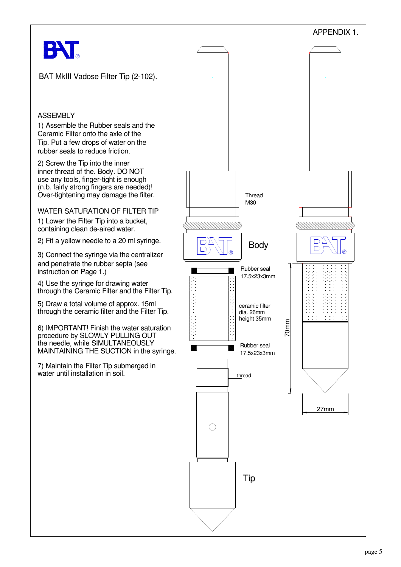

BAT MkIII Vadose Filter Tip (2-102).

### **ASSEMBLY**

1) Assemble the Rubber seals and the Tip. Put a few drops of water on the rubber seals to reduce friction. Ceramic Filter onto the axle of the

use any tools, finger-tight is enough Over-tightening may damage the filter. (n.b. fairly strong fingers are needed)! inner thread of the. Body. DO NOT 2) Screw the Tip into the inner

WATER SATURATION OF FILTER TIP

1) Lower the Filter Tip into a bucket, containing clean de-aired water.

2) Fit a yellow needle to a 20 ml syringe.

and penetrate the rubber septa (see 3) Connect the syringe via the centralizer instruction on Page 1.)

4) Use the syringe for drawing water through the Ceramic Filter and the Filter Tip.

through the ceramic filter and the Filter Tip. 5) Draw a total volume of approx. 15ml

MAINTAINING THE SUCTION in the syringe. procedure by SLOWLY PULLING OUT 6) IMPORTANT! Finish the water saturation the needle, while SIMULTANEOUSLY

7) Maintain the Filter Tip submerged in water until installation in soil.